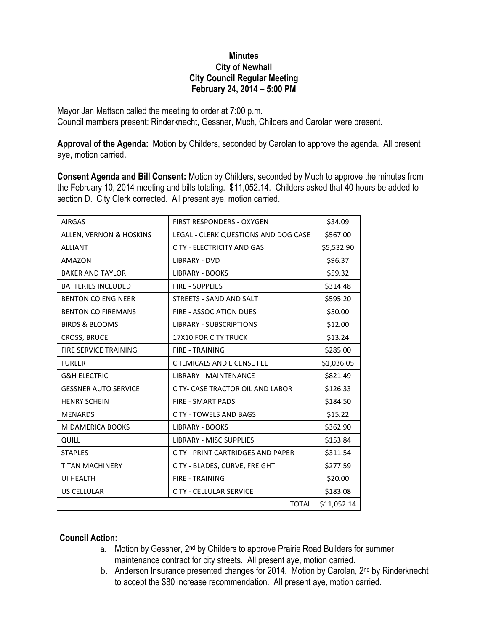## **Minutes City of Newhall City Council Regular Meeting February 24, 2014 – 5:00 PM**

Mayor Jan Mattson called the meeting to order at 7:00 p.m. Council members present: Rinderknecht, Gessner, Much, Childers and Carolan were present.

**Approval of the Agenda:** Motion by Childers, seconded by Carolan to approve the agenda. All present aye, motion carried.

**Consent Agenda and Bill Consent:** Motion by Childers, seconded by Much to approve the minutes from the February 10, 2014 meeting and bills totaling. \$11,052.14. Childers asked that 40 hours be added to section D. City Clerk corrected. All present aye, motion carried.

| <b>AIRGAS</b>               | <b>FIRST RESPONDERS - OXYGEN</b>         | \$34.09     |
|-----------------------------|------------------------------------------|-------------|
| ALLEN, VERNON & HOSKINS     | LEGAL - CLERK QUESTIONS AND DOG CASE     | \$567.00    |
| <b>ALLIANT</b>              | <b>CITY - ELECTRICITY AND GAS</b>        | \$5,532.90  |
| AMAZON                      | <b>LIBRARY - DVD</b>                     | \$96.37     |
| <b>BAKER AND TAYLOR</b>     | <b>LIBRARY - BOOKS</b>                   | \$59.32     |
| <b>BATTERIES INCLUDED</b>   | <b>FIRE - SUPPLIES</b>                   | \$314.48    |
| <b>BENTON CO ENGINEER</b>   | STREETS - SAND AND SALT                  | \$595.20    |
| <b>BENTON CO FIREMANS</b>   | <b>FIRE - ASSOCIATION DUES</b>           | \$50.00     |
| <b>BIRDS &amp; BLOOMS</b>   | <b>LIBRARY - SUBSCRIPTIONS</b>           | \$12.00     |
| <b>CROSS, BRUCE</b>         | <b>17X10 FOR CITY TRUCK</b>              | \$13.24     |
| FIRE SERVICE TRAINING       | <b>FIRE - TRAINING</b>                   | \$285.00    |
| <b>FURLER</b>               | <b>CHEMICALS AND LICENSE FEE</b>         | \$1,036.05  |
| <b>G&amp;H ELECTRIC</b>     | <b>LIBRARY - MAINTENANCE</b>             | \$821.49    |
| <b>GESSNER AUTO SERVICE</b> | CITY- CASE TRACTOR OIL AND LABOR         | \$126.33    |
| <b>HENRY SCHEIN</b>         | <b>FIRE - SMART PADS</b>                 | \$184.50    |
| <b>MENARDS</b>              | <b>CITY - TOWELS AND BAGS</b>            | \$15.22     |
| <b>MIDAMERICA BOOKS</b>     | <b>LIBRARY - BOOKS</b>                   | \$362.90    |
| QUILL                       | <b>LIBRARY - MISC SUPPLIES</b>           | \$153.84    |
| <b>STAPLES</b>              | <b>CITY - PRINT CARTRIDGES AND PAPER</b> | \$311.54    |
| <b>TITAN MACHINERY</b>      | CITY - BLADES, CURVE, FREIGHT            | \$277.59    |
| UI HEALTH                   | <b>FIRE - TRAINING</b>                   | \$20.00     |
| <b>US CELLULAR</b>          | <b>CITY - CELLULAR SERVICE</b>           | \$183.08    |
|                             | <b>TOTAL</b>                             | \$11,052.14 |

## **Council Action:**

- a. Motion by Gessner, 2<sup>nd</sup> by Childers to approve Prairie Road Builders for summer maintenance contract for city streets. All present aye, motion carried.
- b. Anderson Insurance presented changes for 2014. Motion by Carolan, 2<sup>nd</sup> by Rinderknecht to accept the \$80 increase recommendation. All present aye, motion carried.